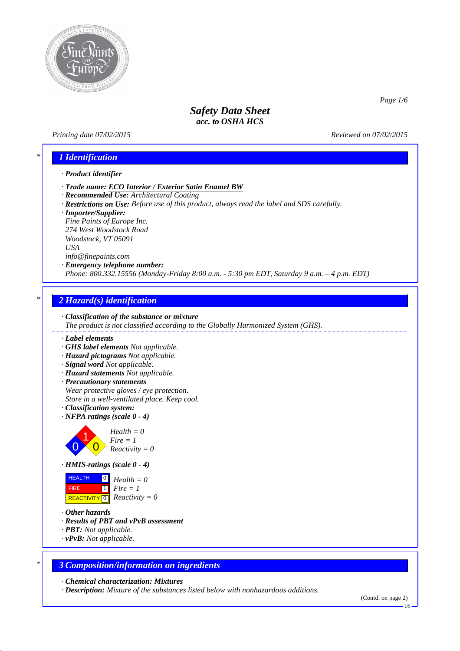

### *Printing date 07/02/2015 Reviewed on 07/02/2015*

*Page 1/6*

# *\* 1 Identification*

### *· Product identifier*

- *· Trade name: ECO Interior / Exterior Satin Enamel BW*
- *· Recommended Use: Architectural Coating*
- *· Restrictions on Use: Before use of this product, always read the label and SDS carefully.*
- *· Importer/Supplier:*

*Fine Paints of Europe Inc. 274 West Woodstock Road Woodstock, VT 05091 USA info@finepaints.com*

*· Emergency telephone number:*

*Phone: 800.332.15556 (Monday-Friday 8:00 a.m. - 5:30 pm EDT, Saturday 9 a.m. – 4 p.m. EDT)*

## *\* 2 Hazard(s) identification*



- *· Label elements*
- *· GHS label elements Not applicable.*
- *· Hazard pictograms Not applicable.*
- *· Signal word Not applicable.*
- *· Hazard statements Not applicable.*
- *· Precautionary statements Wear protective gloves / eye protection. Store in a well-ventilated place. Keep cool.*
- *· Classification system:*
- *· NFPA ratings (scale 0 4)*



*Fire = 1 Reactivity = 0*



**HEALTH FIRE**  $\overline{REACTIVITY \, \vert \, \vert \, \vert}$  *Reactivity = 0* 0 *Health = 0* 1 *Fire = 1*

- *· Other hazards*
- *· Results of PBT and vPvB assessment*
- *· PBT: Not applicable.*
- *· vPvB: Not applicable.*

### *\* 3 Composition/information on ingredients*

*· Chemical characterization: Mixtures*

*· Description: Mixture of the substances listed below with nonhazardous additions.*

<sup>(</sup>Contd. on page 2)

US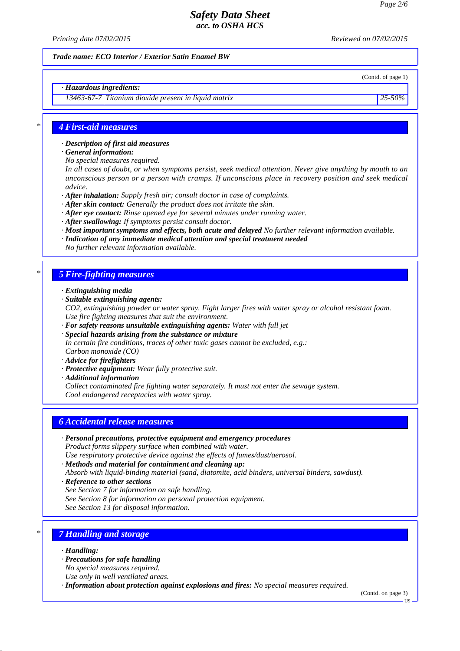*Printing date 07/02/2015 Reviewed on 07/02/2015*

(Contd. of page 1)

### *Trade name: ECO Interior / Exterior Satin Enamel BW*

*· Hazardous ingredients:*

*13463-67-7 Titanium dioxide present in liquid matrix 25-50%*

### *\* 4 First-aid measures*

*· Description of first aid measures*

*· General information:*

*No special measures required.*

*In all cases of doubt, or when symptoms persist, seek medical attention. Never give anything by mouth to an unconscious person or a person with cramps. If unconscious place in recovery position and seek medical advice.*

*· After inhalation: Supply fresh air; consult doctor in case of complaints.*

- *· After skin contact: Generally the product does not irritate the skin.*
- *· After eye contact: Rinse opened eye for several minutes under running water.*
- *· After swallowing: If symptoms persist consult doctor.*

*· Most important symptoms and effects, both acute and delayed No further relevant information available.*

*· Indication of any immediate medical attention and special treatment needed*

*No further relevant information available.*

### *\* 5 Fire-fighting measures*

- *· Extinguishing media*
- *· Suitable extinguishing agents:*

*CO2, extinguishing powder or water spray. Fight larger fires with water spray or alcohol resistant foam. Use fire fighting measures that suit the environment.*

*· For safety reasons unsuitable extinguishing agents: Water with full jet*

*· Special hazards arising from the substance or mixture*

*In certain fire conditions, traces of other toxic gases cannot be excluded, e.g.: Carbon monoxide (CO)*

- *· Advice for firefighters*
- *· Protective equipment: Wear fully protective suit.*
- *· Additional information*

*Collect contaminated fire fighting water separately. It must not enter the sewage system. Cool endangered receptacles with water spray.*

### *6 Accidental release measures*

*· Personal precautions, protective equipment and emergency procedures Product forms slippery surface when combined with water.*

*Use respiratory protective device against the effects of fumes/dust/aerosol.*

- *· Methods and material for containment and cleaning up:*
- *Absorb with liquid-binding material (sand, diatomite, acid binders, universal binders, sawdust).*
- *· Reference to other sections*
- *See Section 7 for information on safe handling.*
- *See Section 8 for information on personal protection equipment.*

*See Section 13 for disposal information.*

## *\* 7 Handling and storage*

- *· Handling:*
- *· Precautions for safe handling*
- *No special measures required.*
- *Use only in well ventilated areas.*

*· Information about protection against explosions and fires: No special measures required.*

(Contd. on page 3)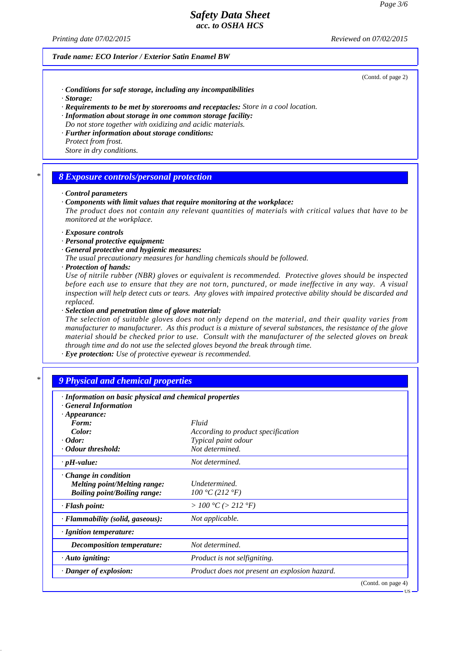*Printing date 07/02/2015 Reviewed on 07/02/2015*

### *Trade name: ECO Interior / Exterior Satin Enamel BW*

(Contd. of page 2)

US

- *· Conditions for safe storage, including any incompatibilities*
- *· Storage:*
- *· Requirements to be met by storerooms and receptacles: Store in a cool location.*
- *· Information about storage in one common storage facility:*
- *Do not store together with oxidizing and acidic materials. · Further information about storage conditions:*
- *Protect from frost. Store in dry conditions.*

### *\* 8 Exposure controls/personal protection*

#### *· Control parameters*

*· Components with limit values that require monitoring at the workplace:*

*The product does not contain any relevant quantities of materials with critical values that have to be monitored at the workplace.*

- *· Exposure controls*
- *· Personal protective equipment:*
- *· General protective and hygienic measures:*
- *The usual precautionary measures for handling chemicals should be followed.*
- *· Protection of hands:*

*Use of nitrile rubber (NBR) gloves or equivalent is recommended. Protective gloves should be inspected before each use to ensure that they are not torn, punctured, or made ineffective in any way. A visual inspection will help detect cuts or tears. Any gloves with impaired protective ability should be discarded and replaced.*

*· Selection and penetration time of glove material:*

*The selection of suitable gloves does not only depend on the material, and their quality varies from manufacturer to manufacturer. As this product is a mixture of several substances, the resistance of the glove material should be checked prior to use. Consult with the manufacturer of the selected gloves on break through time and do not use the selected gloves beyond the break through time.*

*· Eye protection: Use of protective eyewear is recommended.*

# *\* 9 Physical and chemical properties*

| · Information on basic physical and chemical properties            |                                               |                    |
|--------------------------------------------------------------------|-----------------------------------------------|--------------------|
| <b>General Information</b><br>$\cdot$ Appearance:                  |                                               |                    |
| Form:                                                              | Fluid                                         |                    |
| Color:                                                             | According to product specification            |                    |
| $\cdot$ Odor:                                                      | Typical paint odour                           |                    |
| • Odour threshold:                                                 | Not determined.                               |                    |
| $\cdot$ pH-value:                                                  | Not determined.                               |                    |
| $\cdot$ Change in condition<br><i>Melting point/Melting range:</i> | Undetermined.                                 |                    |
| <b>Boiling point/Boiling range:</b>                                | 100 °C (212 °F)                               |                    |
| · Flash point:                                                     | > 100 °C (> 212 °F)                           |                    |
| · Flammability (solid, gaseous):                                   | Not applicable.                               |                    |
| · Ignition temperature:                                            |                                               |                    |
| Decomposition temperature:                                         | Not determined.                               |                    |
| $\cdot$ Auto igniting:                                             | Product is not selfigniting.                  |                    |
| · Danger of explosion:                                             | Product does not present an explosion hazard. |                    |
|                                                                    |                                               | (Contd. on page 4) |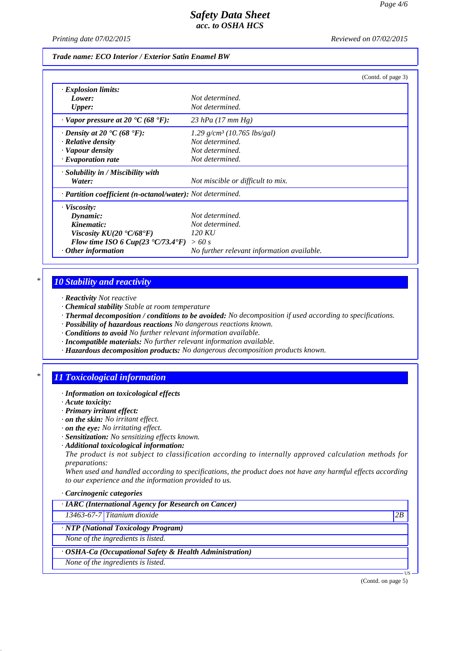*Printing date 07/02/2015 Reviewed on 07/02/2015*

### *Trade name: ECO Interior / Exterior Satin Enamel BW*

|                                                              | (Contd. of page 3)                         |
|--------------------------------------------------------------|--------------------------------------------|
| $\cdot$ Explosion limits:                                    |                                            |
| Lower:                                                       | Not determined.                            |
| <b>Upper:</b>                                                | Not determined.                            |
| $\cdot$ Vapor pressure at 20 °C (68 °F):                     | 23 hPa $(17 \, \text{mm Hg})$              |
| $\cdot$ Density at 20 $\cdot$ C (68 $\cdot$ F):              | $1.29$ g/cm <sup>3</sup> (10.765 lbs/gal)  |
| · Relative density                                           | Not determined.                            |
| · Vapour density                                             | Not determined.                            |
| $\cdot$ Evaporation rate                                     | Not determined.                            |
| $\cdot$ Solubility in / Miscibility with                     |                                            |
| Water:                                                       | Not miscible or difficult to mix.          |
| · Partition coefficient (n-octanol/water): Not determined.   |                                            |
| · Viscosity:                                                 |                                            |
| Dynamic:                                                     | Not determined.                            |
| Kinematic:                                                   | Not determined.                            |
| Viscosity $KU(20 \text{ }^{\circ}C/68 \text{ }^{\circ}F)$    | 120 KU                                     |
| Flow time ISO 6 Cup(23 $\textdegree$ C/73.4 $\textdegree$ F) | >60 s                                      |
| Other information                                            | No further relevant information available. |

### *\* 10 Stability and reactivity*

- *· Reactivity Not reactive*
- *· Chemical stability Stable at room temperature*
- *· Thermal decomposition / conditions to be avoided: No decomposition if used according to specifications.*
- *· Possibility of hazardous reactions No dangerous reactions known.*
- *· Conditions to avoid No further relevant information available.*
- *· Incompatible materials: No further relevant information available.*
- *· Hazardous decomposition products: No dangerous decomposition products known.*

# *\* 11 Toxicological information*

- *· Information on toxicological effects*
- *· Acute toxicity:*
- *· Primary irritant effect:*
- *· on the skin: No irritant effect.*
- *· on the eye: No irritating effect.*
- *· Sensitization: No sensitizing effects known.*
- *· Additional toxicological information:*

*The product is not subject to classification according to internally approved calculation methods for preparations:*

*When used and handled according to specifications, the product does not have any harmful effects according to our experience and the information provided to us.*

#### *· Carcinogenic categories*

*· IARC (International Agency for Research on Cancer)*

*13463-67-7 Titanium dioxide 2B*

*· NTP (National Toxicology Program)*

*None of the ingredients is listed.*

*· OSHA-Ca (Occupational Safety & Health Administration)*

*None of the ingredients is listed.*

(Contd. on page 5)

US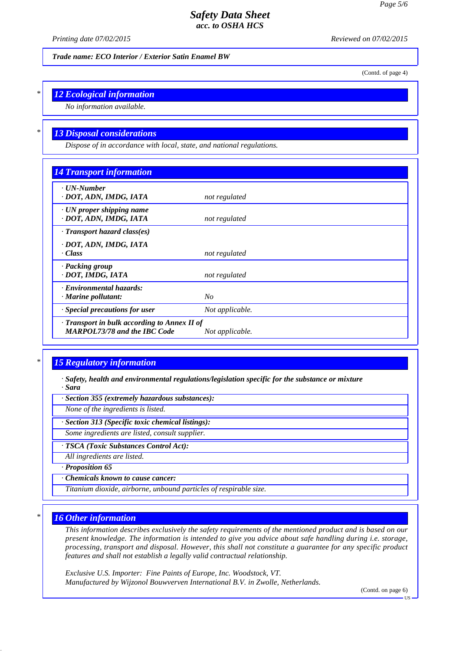*Printing date 07/02/2015 Reviewed on 07/02/2015*

*Trade name: ECO Interior / Exterior Satin Enamel BW*

(Contd. of page 4)

## *\* 12 Ecological information*

*No information available.*

## *\* 13 Disposal considerations*

*Dispose of in accordance with local, state, and national regulations.*

| <b>14 Transport information</b>                                                           |                 |  |
|-------------------------------------------------------------------------------------------|-----------------|--|
| ⋅ UN-Number<br>· DOT, ADN, IMDG, IATA                                                     | not regulated   |  |
| $\cdot$ UN proper shipping name<br>· DOT, ADN, IMDG, IATA                                 | not regulated   |  |
| $\cdot$ Transport hazard class(es)                                                        |                 |  |
| · DOT, ADN, IMDG, IATA                                                                    |                 |  |
| · Class                                                                                   | not regulated   |  |
| · Packing group<br>· DOT, IMDG, IATA                                                      | not regulated   |  |
| · Environmental hazards:                                                                  |                 |  |
| $\cdot$ Marine pollutant:                                                                 | N <sub>O</sub>  |  |
| $\cdot$ Special precautions for user                                                      | Not applicable. |  |
| $\cdot$ Transport in bulk according to Annex II of<br><b>MARPOL73/78 and the IBC Code</b> | Not applicable. |  |

# *\* 15 Regulatory information*

*· Safety, health and environmental regulations/legislation specific for the substance or mixture · Sara*

*· Section 355 (extremely hazardous substances):*

*None of the ingredients is listed.*

*· Section 313 (Specific toxic chemical listings):*

*Some ingredients are listed, consult supplier.*

*· TSCA (Toxic Substances Control Act):*

*All ingredients are listed.*

*· Proposition 65*

*· Chemicals known to cause cancer:*

*Titanium dioxide, airborne, unbound particles of respirable size.*

### *\* 16 Other information*

*This information describes exclusively the safety requirements of the mentioned product and is based on our present knowledge. The information is intended to give you advice about safe handling during i.e. storage, processing, transport and disposal. However, this shall not constitute a guarantee for any specific product features and shall not establish a legally valid contractual relationship.*

*Exclusive U.S. Importer: Fine Paints of Europe, Inc. Woodstock, VT. Manufactured by Wijzonol Bouwverven International B.V. in Zwolle, Netherlands.*

(Contd. on page 6)

**TIS**